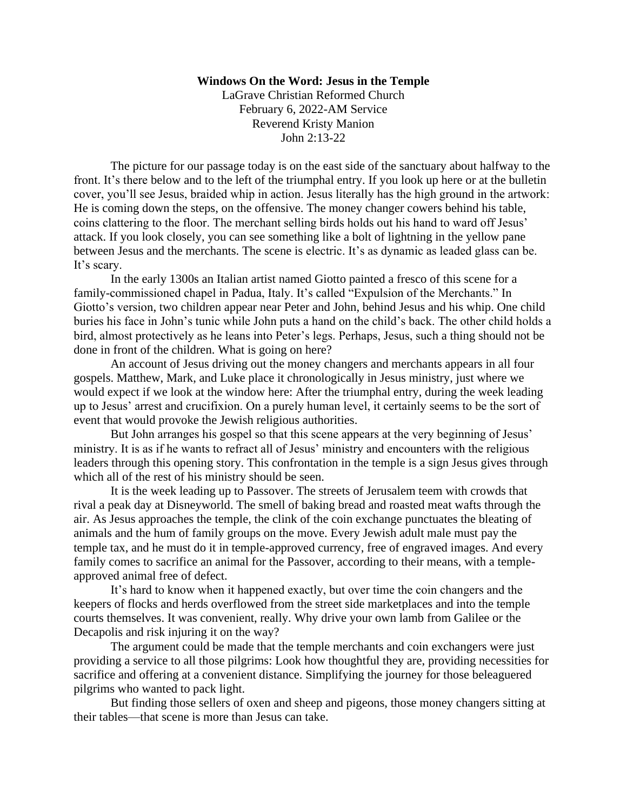## **Windows On the Word: Jesus in the Temple**

LaGrave Christian Reformed Church February 6, 2022-AM Service Reverend Kristy Manion John 2:13-22

The picture for our passage today is on the east side of the sanctuary about halfway to the front. It's there below and to the left of the triumphal entry. If you look up here or at the bulletin cover, you'll see Jesus, braided whip in action. Jesus literally has the high ground in the artwork: He is coming down the steps, on the offensive. The money changer cowers behind his table, coins clattering to the floor. The merchant selling birds holds out his hand to ward off Jesus' attack. If you look closely, you can see something like a bolt of lightning in the yellow pane between Jesus and the merchants. The scene is electric. It's as dynamic as leaded glass can be. It's scary.

In the early 1300s an Italian artist named Giotto painted a fresco of this scene for a family-commissioned chapel in Padua, Italy. It's called "Expulsion of the Merchants." In Giotto's version, two children appear near Peter and John, behind Jesus and his whip. One child buries his face in John's tunic while John puts a hand on the child's back. The other child holds a bird, almost protectively as he leans into Peter's legs. Perhaps, Jesus, such a thing should not be done in front of the children. What is going on here?

An account of Jesus driving out the money changers and merchants appears in all four gospels. Matthew, Mark, and Luke place it chronologically in Jesus ministry, just where we would expect if we look at the window here: After the triumphal entry, during the week leading up to Jesus' arrest and crucifixion. On a purely human level, it certainly seems to be the sort of event that would provoke the Jewish religious authorities.

But John arranges his gospel so that this scene appears at the very beginning of Jesus' ministry. It is as if he wants to refract all of Jesus' ministry and encounters with the religious leaders through this opening story. This confrontation in the temple is a sign Jesus gives through which all of the rest of his ministry should be seen.

It is the week leading up to Passover. The streets of Jerusalem teem with crowds that rival a peak day at Disneyworld. The smell of baking bread and roasted meat wafts through the air. As Jesus approaches the temple, the clink of the coin exchange punctuates the bleating of animals and the hum of family groups on the move. Every Jewish adult male must pay the temple tax, and he must do it in temple-approved currency, free of engraved images. And every family comes to sacrifice an animal for the Passover, according to their means, with a templeapproved animal free of defect.

It's hard to know when it happened exactly, but over time the coin changers and the keepers of flocks and herds overflowed from the street side marketplaces and into the temple courts themselves. It was convenient, really. Why drive your own lamb from Galilee or the Decapolis and risk injuring it on the way?

The argument could be made that the temple merchants and coin exchangers were just providing a service to all those pilgrims: Look how thoughtful they are, providing necessities for sacrifice and offering at a convenient distance. Simplifying the journey for those beleaguered pilgrims who wanted to pack light.

But finding those sellers of oxen and sheep and pigeons, those money changers sitting at their tables—that scene is more than Jesus can take.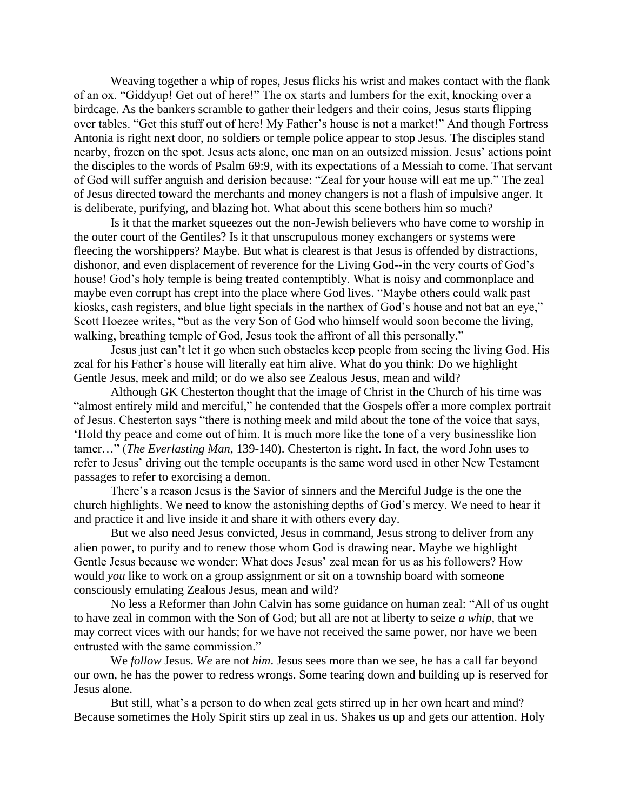Weaving together a whip of ropes, Jesus flicks his wrist and makes contact with the flank of an ox. "Giddyup! Get out of here!" The ox starts and lumbers for the exit, knocking over a birdcage. As the bankers scramble to gather their ledgers and their coins, Jesus starts flipping over tables. "Get this stuff out of here! My Father's house is not a market!" And though Fortress Antonia is right next door, no soldiers or temple police appear to stop Jesus. The disciples stand nearby, frozen on the spot. Jesus acts alone, one man on an outsized mission. Jesus' actions point the disciples to the words of Psalm 69:9, with its expectations of a Messiah to come. That servant of God will suffer anguish and derision because: "Zeal for your house will eat me up." The zeal of Jesus directed toward the merchants and money changers is not a flash of impulsive anger. It is deliberate, purifying, and blazing hot. What about this scene bothers him so much?

Is it that the market squeezes out the non-Jewish believers who have come to worship in the outer court of the Gentiles? Is it that unscrupulous money exchangers or systems were fleecing the worshippers? Maybe. But what is clearest is that Jesus is offended by distractions, dishonor, and even displacement of reverence for the Living God--in the very courts of God's house! God's holy temple is being treated contemptibly. What is noisy and commonplace and maybe even corrupt has crept into the place where God lives. "Maybe others could walk past kiosks, cash registers, and blue light specials in the narthex of God's house and not bat an eye," Scott Hoezee writes, "but as the very Son of God who himself would soon become the living, walking, breathing temple of God, Jesus took the affront of all this personally."

Jesus just can't let it go when such obstacles keep people from seeing the living God. His zeal for his Father's house will literally eat him alive. What do you think: Do we highlight Gentle Jesus, meek and mild; or do we also see Zealous Jesus, mean and wild?

Although GK Chesterton thought that the image of Christ in the Church of his time was "almost entirely mild and merciful," he contended that the Gospels offer a more complex portrait of Jesus. Chesterton says "there is nothing meek and mild about the tone of the voice that says, 'Hold thy peace and come out of him. It is much more like the tone of a very businesslike lion tamer…" (*The Everlasting Man*, 139-140). Chesterton is right. In fact, the word John uses to refer to Jesus' driving out the temple occupants is the same word used in other New Testament passages to refer to exorcising a demon.

There's a reason Jesus is the Savior of sinners and the Merciful Judge is the one the church highlights. We need to know the astonishing depths of God's mercy. We need to hear it and practice it and live inside it and share it with others every day.

But we also need Jesus convicted, Jesus in command, Jesus strong to deliver from any alien power, to purify and to renew those whom God is drawing near. Maybe we highlight Gentle Jesus because we wonder: What does Jesus' zeal mean for us as his followers? How would *you* like to work on a group assignment or sit on a township board with someone consciously emulating Zealous Jesus, mean and wild?

No less a Reformer than John Calvin has some guidance on human zeal: "All of us ought to have zeal in common with the Son of God; but all are not at liberty to seize *a whip*, that we may correct vices with our hands; for we have not received the same power, nor have we been entrusted with the same commission."

We *follow* Jesus. *We* are not *him*. Jesus sees more than we see, he has a call far beyond our own, he has the power to redress wrongs. Some tearing down and building up is reserved for Jesus alone.

But still, what's a person to do when zeal gets stirred up in her own heart and mind? Because sometimes the Holy Spirit stirs up zeal in us. Shakes us up and gets our attention. Holy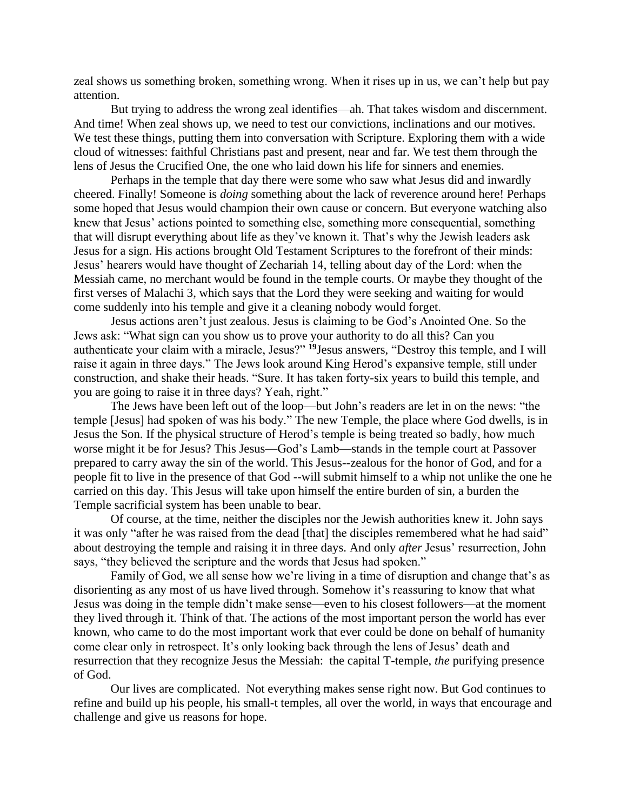zeal shows us something broken, something wrong. When it rises up in us, we can't help but pay attention.

But trying to address the wrong zeal identifies—ah. That takes wisdom and discernment. And time! When zeal shows up, we need to test our convictions, inclinations and our motives. We test these things, putting them into conversation with Scripture. Exploring them with a wide cloud of witnesses: faithful Christians past and present, near and far. We test them through the lens of Jesus the Crucified One, the one who laid down his life for sinners and enemies.

Perhaps in the temple that day there were some who saw what Jesus did and inwardly cheered. Finally! Someone is *doing* something about the lack of reverence around here! Perhaps some hoped that Jesus would champion their own cause or concern. But everyone watching also knew that Jesus' actions pointed to something else, something more consequential, something that will disrupt everything about life as they've known it. That's why the Jewish leaders ask Jesus for a sign. His actions brought Old Testament Scriptures to the forefront of their minds: Jesus' hearers would have thought of Zechariah 14, telling about day of the Lord: when the Messiah came, no merchant would be found in the temple courts. Or maybe they thought of the first verses of Malachi 3, which says that the Lord they were seeking and waiting for would come suddenly into his temple and give it a cleaning nobody would forget.

Jesus actions aren't just zealous. Jesus is claiming to be God's Anointed One. So the Jews ask: "What sign can you show us to prove your authority to do all this? Can you authenticate your claim with a miracle, Jesus?" **<sup>19</sup>**Jesus answers, "Destroy this temple, and I will raise it again in three days." The Jews look around King Herod's expansive temple, still under construction, and shake their heads. "Sure. It has taken forty-six years to build this temple, and you are going to raise it in three days? Yeah, right."

The Jews have been left out of the loop—but John's readers are let in on the news: "the temple [Jesus] had spoken of was his body." The new Temple, the place where God dwells, is in Jesus the Son. If the physical structure of Herod's temple is being treated so badly, how much worse might it be for Jesus? This Jesus—God's Lamb—stands in the temple court at Passover prepared to carry away the sin of the world. This Jesus--zealous for the honor of God, and for a people fit to live in the presence of that God --will submit himself to a whip not unlike the one he carried on this day. This Jesus will take upon himself the entire burden of sin, a burden the Temple sacrificial system has been unable to bear.

Of course, at the time, neither the disciples nor the Jewish authorities knew it. John says it was only "after he was raised from the dead [that] the disciples remembered what he had said" about destroying the temple and raising it in three days. And only *after* Jesus' resurrection, John says, "they believed the scripture and the words that Jesus had spoken."

Family of God, we all sense how we're living in a time of disruption and change that's as disorienting as any most of us have lived through. Somehow it's reassuring to know that what Jesus was doing in the temple didn't make sense—even to his closest followers—at the moment they lived through it. Think of that. The actions of the most important person the world has ever known, who came to do the most important work that ever could be done on behalf of humanity come clear only in retrospect. It's only looking back through the lens of Jesus' death and resurrection that they recognize Jesus the Messiah: the capital T-temple, *the* purifying presence of God.

Our lives are complicated. Not everything makes sense right now. But God continues to refine and build up his people, his small-t temples, all over the world, in ways that encourage and challenge and give us reasons for hope.